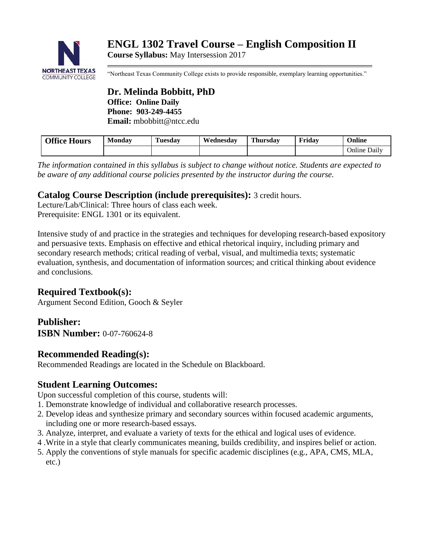

**Course Syllabus:** May Intersession 2017

"Northeast Texas Community College exists to provide responsible, exemplary learning opportunities."

**Dr. Melinda Bobbitt, PhD Office: Online Daily Phone: 903-249-4455 Email:** mbobbitt@ntcc.edu

| <b>Office Hours</b> | Monday | Fuesdav | Wednesdav | Thursdav | Fridav | <b>Online</b> |
|---------------------|--------|---------|-----------|----------|--------|---------------|
|                     |        |         |           |          |        | Online Daily  |

*The information contained in this syllabus is subject to change without notice. Students are expected to be aware of any additional course policies presented by the instructor during the course.*

## **Catalog Course Description (include prerequisites):** 3 credit hours.

Lecture/Lab/Clinical: Three hours of class each week. Prerequisite: ENGL 1301 or its equivalent.

Intensive study of and practice in the strategies and techniques for developing research-based expository and persuasive texts. Emphasis on effective and ethical rhetorical inquiry, including primary and secondary research methods; critical reading of verbal, visual, and multimedia texts; systematic evaluation, synthesis, and documentation of information sources; and critical thinking about evidence and conclusions.

## **Required Textbook(s):**

Argument Second Edition, Gooch & Seyler

# **Publisher:**

**ISBN Number:** 0-07-760624-8

## **Recommended Reading(s):**

Recommended Readings are located in the Schedule on Blackboard.

## **Student Learning Outcomes:**

Upon successful completion of this course, students will:

- 1. Demonstrate knowledge of individual and collaborative research processes.
- 2. Develop ideas and synthesize primary and secondary sources within focused academic arguments, including one or more research-based essays.
- 3. Analyze, interpret, and evaluate a variety of texts for the ethical and logical uses of evidence.
- 4 .Write in a style that clearly communicates meaning, builds credibility, and inspires belief or action.
- 5. Apply the conventions of style manuals for specific academic disciplines (e.g., APA, CMS, MLA, etc.)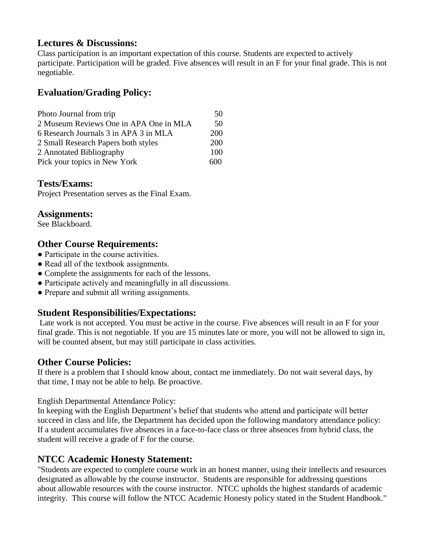## **Lectures & Discussions:**

Class participation is an important expectation of this course. Students are expected to actively participate. Participation will be graded. Five absences will result in an F for your final grade. This is not negotiable.

## **Evaluation/Grading Policy:**

| Photo Journal from trip                |            |
|----------------------------------------|------------|
| 2 Museum Reviews One in APA One in MLA | 50         |
| 6 Research Journals 3 in APA 3 in MLA  | <b>200</b> |
| 2 Small Research Papers both styles    | <b>200</b> |
| 2 Annotated Bibliography               |            |
| Pick your topics in New York           | 600.       |

#### **Tests/Exams:**

Project Presentation serves as the Final Exam.

#### **Assignments:**

See Blackboard.

## **Other Course Requirements:**

- Participate in the course activities.
- Read all of the textbook assignments.
- Complete the assignments for each of the lessons.
- Participate actively and meaningfully in all discussions.
- Prepare and submit all writing assignments.

## **Student Responsibilities/Expectations:**

Late work is not accepted. You must be active in the course. Five absences will result in an F for your final grade. This is not negotiable. If you are 15 minutes late or more, you will not be allowed to sign in, will be counted absent, but may still participate in class activities.

## **Other Course Policies:**

If there is a problem that I should know about, contact me immediately. Do not wait several days, by that time, I may not be able to help. Be proactive.

English Departmental Attendance Policy:

In keeping with the English Department's belief that students who attend and participate will better succeed in class and life, the Department has decided upon the following mandatory attendance policy: If a student accumulates five absences in a face-to-face class or three absences from hybrid class, the student will receive a grade of F for the course.

## **NTCC Academic Honesty Statement:**

"Students are expected to complete course work in an honest manner, using their intellects and resources designated as allowable by the course instructor. Students are responsible for addressing questions about allowable resources with the course instructor. NTCC upholds the highest standards of academic integrity. This course will follow the NTCC Academic Honesty policy stated in the Student Handbook."